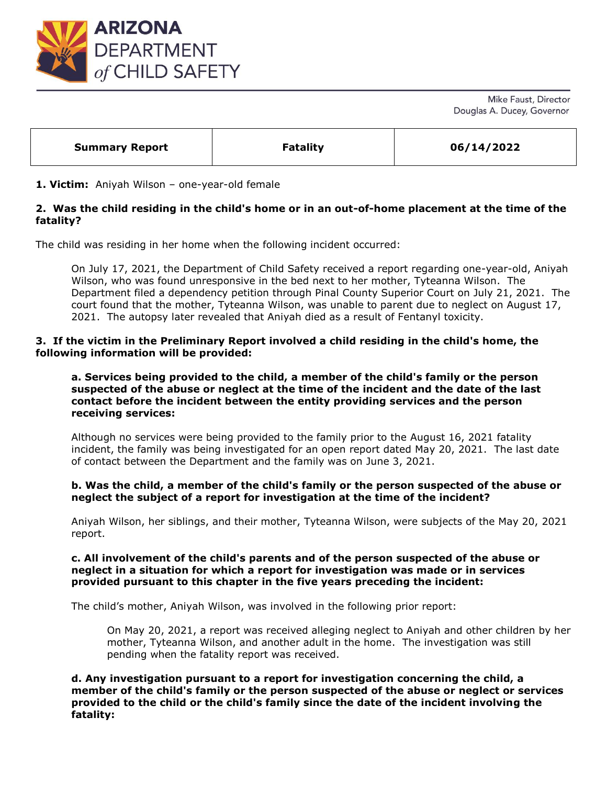

Mike Faust, Director Douglas A. Ducey, Governor

| <b>Summary Report</b> | <b>Fatality</b> | 06/14/2022 |
|-----------------------|-----------------|------------|
|                       |                 |            |

## **1. Victim:** Aniyah Wilson – one-year-old female

# **2. Was the child residing in the child's home or in an out-of-home placement at the time of the fatality?**

The child was residing in her home when the following incident occurred:

On July 17, 2021, the Department of Child Safety received a report regarding one-year-old, Aniyah Wilson, who was found unresponsive in the bed next to her mother, Tyteanna Wilson. The Department filed a dependency petition through Pinal County Superior Court on July 21, 2021. The court found that the mother, Tyteanna Wilson, was unable to parent due to neglect on August 17, 2021. The autopsy later revealed that Aniyah died as a result of Fentanyl toxicity.

## **3. If the victim in the Preliminary Report involved a child residing in the child's home, the following information will be provided:**

## **a. Services being provided to the child, a member of the child's family or the person suspected of the abuse or neglect at the time of the incident and the date of the last contact before the incident between the entity providing services and the person receiving services:**

Although no services were being provided to the family prior to the August 16, 2021 fatality incident, the family was being investigated for an open report dated May 20, 2021. The last date of contact between the Department and the family was on June 3, 2021.

### **b. Was the child, a member of the child's family or the person suspected of the abuse or neglect the subject of a report for investigation at the time of the incident?**

Aniyah Wilson, her siblings, and their mother, Tyteanna Wilson, were subjects of the May 20, 2021 report.

## **c. All involvement of the child's parents and of the person suspected of the abuse or neglect in a situation for which a report for investigation was made or in services provided pursuant to this chapter in the five years preceding the incident:**

The child's mother, Aniyah Wilson, was involved in the following prior report:

On May 20, 2021, a report was received alleging neglect to Aniyah and other children by her mother, Tyteanna Wilson, and another adult in the home. The investigation was still pending when the fatality report was received.

**d. Any investigation pursuant to a report for investigation concerning the child, a member of the child's family or the person suspected of the abuse or neglect or services provided to the child or the child's family since the date of the incident involving the fatality:**